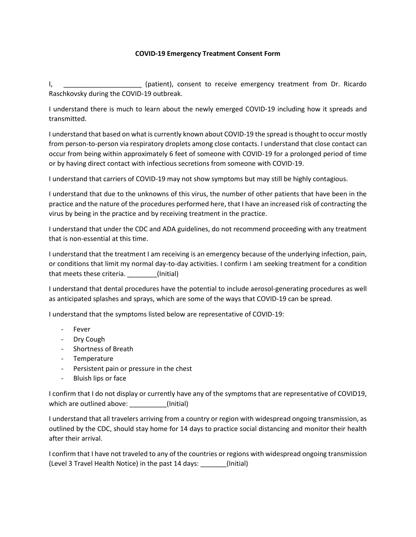## **COVID-19 Emergency Treatment Consent Form**

I, \_\_\_\_\_\_\_\_\_\_\_\_\_\_\_\_\_\_\_\_\_ (patient), consent to receive emergency treatment from Dr. Ricardo Raschkovsky during the COVID-19 outbreak.

I understand there is much to learn about the newly emerged COVID-19 including how it spreads and transmitted.

I understand that based on what is currently known about COVID-19 the spread is thought to occur mostly from person-to-person via respiratory droplets among close contacts. I understand that close contact can occur from being within approximately 6 feet of someone with COVID-19 for a prolonged period of time or by having direct contact with infectious secretions from someone with COVID-19.

I understand that carriers of COVID-19 may not show symptoms but may still be highly contagious.

I understand that due to the unknowns of this virus, the number of other patients that have been in the practice and the nature of the procedures performed here, that I have an increased risk of contracting the virus by being in the practice and by receiving treatment in the practice.

I understand that under the CDC and ADA guidelines, do not recommend proceeding with any treatment that is non-essential at this time.

I understand that the treatment I am receiving is an emergency because of the underlying infection, pain, or conditions that limit my normal day-to-day activities. I confirm I am seeking treatment for a condition that meets these criteria. \_\_\_\_\_\_\_\_(Initial)

I understand that dental procedures have the potential to include aerosol-generating procedures as well as anticipated splashes and sprays, which are some of the ways that COVID-19 can be spread.

I understand that the symptoms listed below are representative of COVID-19:

- Fever
- Dry Cough
- Shortness of Breath
- Temperature
- Persistent pain or pressure in the chest
- Bluish lips or face

I confirm that I do not display or currently have any of the symptoms that are representative of COVID19, which are outlined above:  $\qquad \qquad$  (Initial)

I understand that all travelers arriving from a country or region with widespread ongoing transmission, as outlined by the CDC, should stay home for 14 days to practice social distancing and monitor their health after their arrival.

I confirm that I have not traveled to any of the countries or regions with widespread ongoing transmission (Level 3 Travel Health Notice) in the past 14 days: \_\_\_\_\_\_\_(Initial)